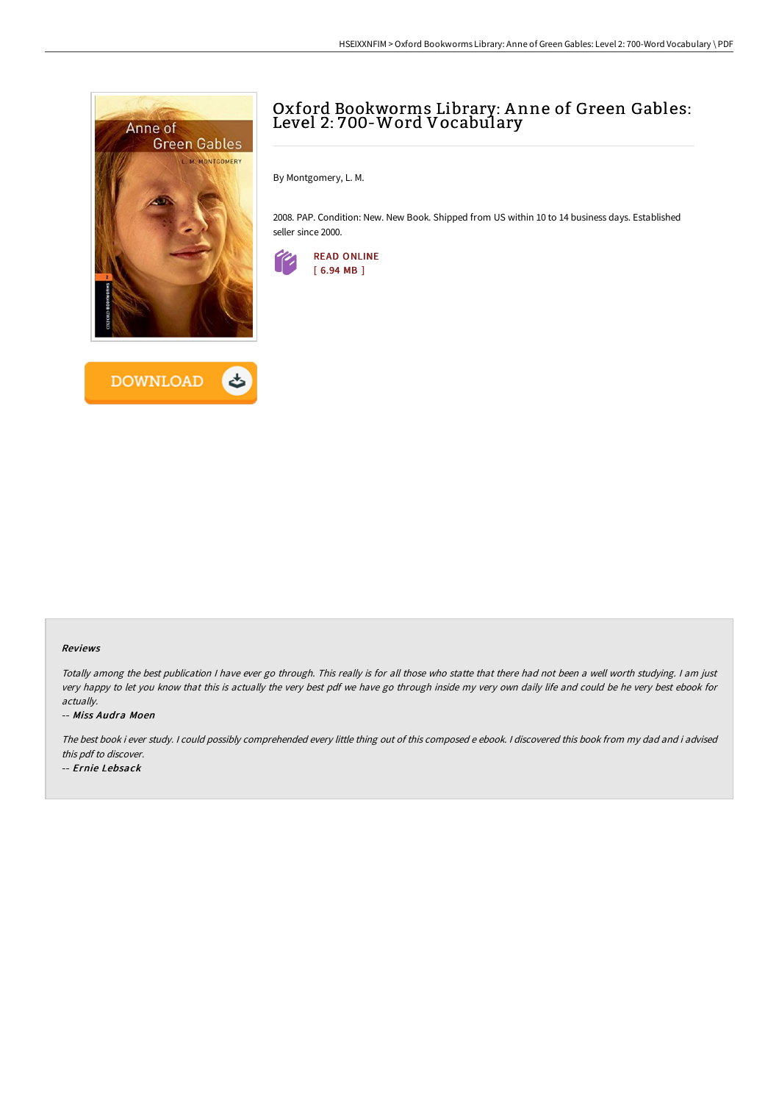



## Oxford Bookworms Library: A nne of Green Gables: Level 2: 700-Word Vocabulary

By Montgomery, L. M.

2008. PAP. Condition: New. New Book. Shipped from US within 10 to 14 business days. Established seller since 2000.



## Reviews

Totally among the best publication <sup>I</sup> have ever go through. This really is for all those who statte that there had not been <sup>a</sup> well worth studying. <sup>I</sup> am just very happy to let you know that this is actually the very best pdf we have go through inside my very own daily life and could be he very best ebook for actually.

## -- Miss Audra Moen

The best book i ever study. <sup>I</sup> could possibly comprehended every little thing out of this composed <sup>e</sup> ebook. <sup>I</sup> discovered this book from my dad and i advised this pdf to discover.

-- Ernie Lebsack